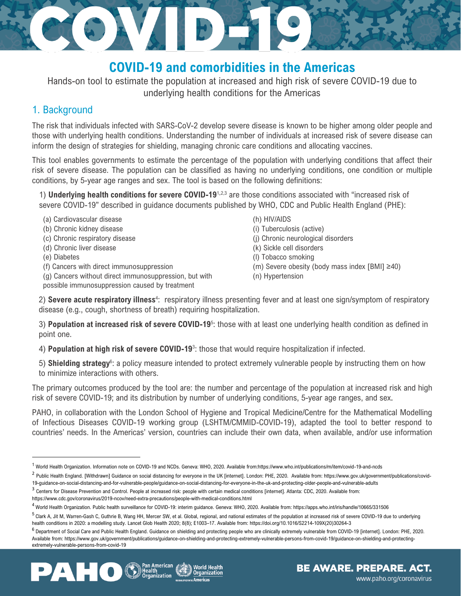# **COVID-19 and comorbidities in the Americas**

AND P

Hands-on tool to estimate the population at increased and high risk of severe COVID-19 due to underlying health conditions for the Americas

## 1. Background

The risk that individuals infected with SARS-CoV-2 develop severe disease is known to be higher among older people and those with underlying health conditions. Understanding the number of individuals at increased risk of severe disease can inform the design of strategies for shielding, managing chronic care conditions and allocating vaccines.

This tool enables governments to estimate the percentage of the population with underlying conditions that affect their risk of severe disease. The population can be classified as having no underlying conditions, one condition or multiple conditions, by 5-year age ranges and sex. The tool is based on the following definitions:

1) **Underlying health conditions for severe COVID-19**<sup>1</sup>**,**2,3 are those conditions associated with "increased risk of severe COVID-19" described in guidance documents published by WHO, CDC and Public Health England (PHE):

(a) Cardiovascular disease (h) HIV/AIDS

(b) Chronic kidney disease (i) Tuberculosis (active)

STE EN

- (d) Chronic liver disease (k) Sickle cell disorders
- 
- 
- (g) Cancers without direct immunosuppression, but with

possible immunosuppression caused by treatment

- 
- (c) Chronic respiratory disease (j) Chronic neurological disorders
	-
- (e) Diabetes (l) Tobacco smoking
- (f) Cancers with direct immunosuppression (m) Severe obesity (body mass index [BMI] ≥40)
	- (n) Hypertension

2) Severe acute respiratory illness<sup>4</sup>: respiratory illness presenting fever and at least one sign/symptom of respiratory disease (e.g., cough, shortness of breath) requiring hospitalization.

3) **Population at increased risk of severe COVID-19**<sup>5</sup> : those with at least one underlying health condition as defined in point one.

4) **Population at high risk of severe COVID-19**<sup>3</sup> : those that would require hospitalization if infected.

5) Shielding strategy<sup>6</sup>: a policy measure intended to protect extremely vulnerable people by instructing them on how to minimize interactions with others.

The primary outcomes produced by the tool are: the number and percentage of the population at increased risk and high risk of severe COVID-19; and its distribution by number of underlying conditions, 5-year age ranges, and sex.

PAHO, in collaboration with the London School of Hygiene and Tropical Medicine/Centre for the Mathematical Modelling of Infectious Diseases COVID-19 working group (LSHTM/CMMID-COVID-19), adapted the tool to better respond to countries' needs. In the Americas' version, countries can include their own data, when available, and/or use information

<sup>&</sup>lt;sup>6</sup> Department of Social Care and Public Health England. Guidance on shielding and protecting people who are clinically extremely vulnerable from COVID-19 [internet]. London: PHE, 2020. Available from: https://www.gov.uk/government/publications/guidance-on-shielding-and-protecting-extremely-vulnerable-persons-from-covid-19/guidance-on-shielding-and-protectingextremely-vulnerable-persons-from-covid-19



<sup>1</sup> World Health Organization. Information note on COVID-19 and NCDs. Geneva: WHO, 2020. Available from:https://www.who.int/publications/m/item/covid-19-and-ncds

<sup>&</sup>lt;sup>2</sup> Public Health England. [Withdrawn] Guidance on social distancing for everyone in the UK [internet]. London: PHE, 2020. Available from: https://www.gov.uk/government/publications/covid-19-guidance-on-social-distancing-and-for-vulnerable-people/guidance-on-social-distancing-for-everyone-in-the-uk-and-protecting-older-people-and-vulnerable-adults

<sup>&</sup>lt;sup>3</sup> Centers for Disease Prevention and Control. People at increased risk: people with certain medical conditions [internet]. Atlanta: CDC, 2020. Available from: https://www.cdc.gov/coronavirus/2019-ncov/need-extra-precautions/people-with-medical-conditions.html

<sup>4</sup> World Health Organization. Public health surveillance for COVID-19: interim guidance. Geneva: WHO, 2020. Available from: https://apps.who.int/iris/handle/10665/331506

<sup>5</sup> Clark A, Jit M, Warren-Gash C, Guthrie B, Wang HH, Mercer SW, et al. Global, regional, and national estimates of the population at increased risk of severe COVID-19 due to underlying health conditions in 2020: a modelling study. Lancet Glob Health 2020; 8(8); E1003–17. Available from: https://doi.org/10.1016/S2214-109X(20)30264-3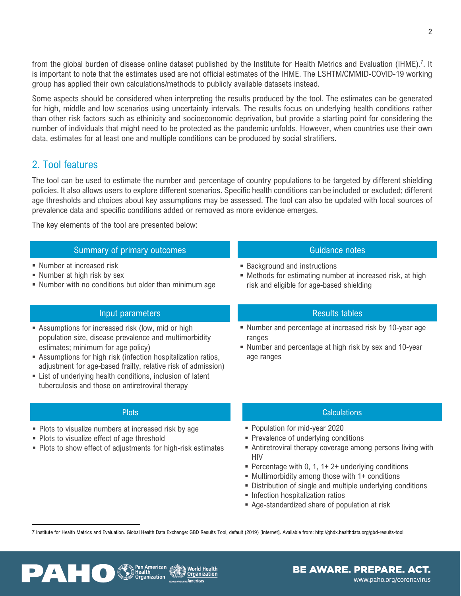from the global burden of disease online dataset published by the Institute for Health Metrics and Evaluation (IHME).<sup>7</sup>. It is important to note that the estimates used are not official estimates of the IHME. The LSHTM/CMMID-COVID-19 working group has applied their own calculations/methods to publicly available datasets instead.

Some aspects should be considered when interpreting the results produced by the tool. The estimates can be generated for high, middle and low scenarios using uncertainty intervals. The results focus on underlying health conditions rather than other risk factors such as ethinicity and socioeconomic deprivation, but provide a starting point for considering the number of individuals that might need to be protected as the pandemic unfolds. However, when countries use their own data, estimates for at least one and multiple conditions can be produced by social stratifiers.

### 2. Tool features

The tool can be used to estimate the number and percentage of country populations to be targeted by different shielding policies. It also allows users to explore different scenarios. Specific health conditions can be included or excluded; different age thresholds and choices about key assumptions may be assessed. The tool can also be updated with local sources of prevalence data and specific conditions added or removed as more evidence emerges.

The key elements of the tool are presented below:

|  | Summary of primary outcomes |
|--|-----------------------------|
|  |                             |
|  |                             |

- Number at increased risk
- **E** Number at high risk by sex
- Number with no conditions but older than minimum age

### Input parameters

- **EXECUTE:** Assumptions for increased risk (low, mid or high population size, disease prevalence and multimorbidity estimates; minimum for age policy)
- **EXECT** Assumptions for high risk (infection hospitalization ratios, adjustment for age-based frailty, relative risk of admission)
- **Example 1** List of underlying health conditions, inclusion of latent tuberculosis and those on antiretroviral therapy

### **Plots**

- Plots to visualize numbers at increased risk by age
- Plots to visualize effect of age threshold

PAHO

■ Plots to show effect of adjustments for high-risk estimates

- Background and instructions
- Methods for estimating number at increased risk, at high risk and eligible for age-based shielding

Guidance notes

### Results tables

- Number and percentage at increased risk by 10-year age ranges
- Number and percentage at high risk by sex and 10-year age ranges

### **Calculations**

- Population for mid-year 2020
- **Prevalence of underlying conditions**
- **EXECT** Antiretroviral therapy coverage among persons living with HIV
- **Percentage with 0, 1, 1+ 2+ underlying conditions**
- **Multimorbidity among those with 1+ conditions**
- **EXECT** Distribution of single and multiple underlying conditions
- **·** Infection hospitalization ratios
- Age-standardized share of population at risk

7 Institute for Health Metrics and Evaluation. Global Health Data Exchange: GBD Results Tool, default (2019) [internet]. Available from: http://ghdx.healthdata.org/gbd-results-tool